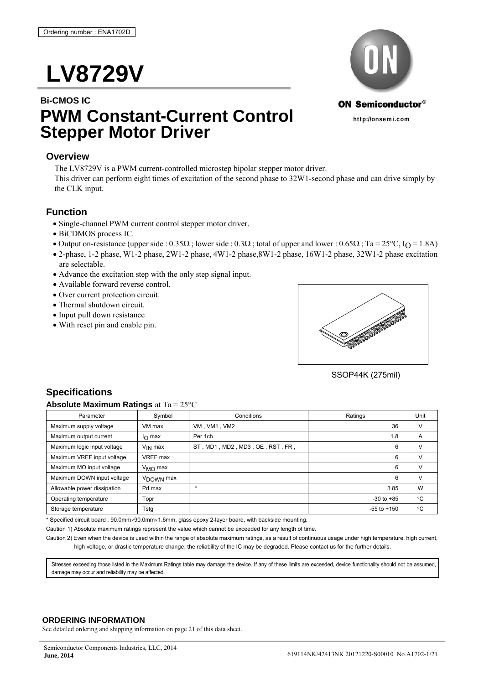# **LV8729V**

# **Bi-CMOS IC PWM Constant-Current Control Stepper Motor Driver**

#### **Overview**

The LV8729V is a PWM current-controlled microstep bipolar stepper motor driver.

This driver can perform eight times of excitation of the second phase to 32W1-second phase and can drive simply by the CLK input.

### **Function**

- Single-channel PWM current control stepper motor driver.
- BiCDMOS process IC.
- Output on-resistance (upper side :  $0.35\Omega$ ; lower side :  $0.3\Omega$ ; total of upper and lower :  $0.65\Omega$ ; Ta =  $25^{\circ}$ C, I<sub>O</sub> = 1.8A)
- 2-phase, 1-2 phase, W1-2 phase, 2W1-2 phase, 4W1-2 phase,8W1-2 phase, 16W1-2 phase, 32W1-2 phase excitation are selectable.
- Advance the excitation step with the only step signal input.
- Available forward reverse control.
- Over current protection circuit.
- Thermal shutdown circuit.
- Input pull down resistance
- With reset pin and enable pin.



SSOP44K (275mil)

# **Specifications**

#### **Absolute Maximum Ratings** at Ta = 25°C

| Parameter                   | Symbol                | Conditions                      | Ratings         | Unit |
|-----------------------------|-----------------------|---------------------------------|-----------------|------|
| Maximum supply voltage      | VM max                | VM, VM1, VM2                    | 36              | v    |
| Maximum output current      | $\log$ max            | Per 1ch                         | 1.8             | A    |
| Maximum logic input voltage | V <sub>IN</sub> max   | ST, MD1, MD2, MD3, OE, RST, FR, | 6               | v    |
| Maximum VREF input voltage  | VREF max              |                                 | 6               | V    |
| Maximum MO input voltage    | V <sub>MO</sub> max   |                                 | 6               |      |
| Maximum DOWN input voltage  | V <sub>DOWN</sub> max |                                 | 6               | v    |
| Allowable power dissipation | Pd max                |                                 | 3.85            | W    |
| Operating temperature       | Topr                  |                                 | $-30$ to $+85$  | °€   |
| Storage temperature         | Tstg                  |                                 | $-55$ to $+150$ | °€   |

\* Specified circuit board : 90.0mm×90.0mm×1.6mm, glass epoxy 2-layer board, with backside mounting.

Caution 1) Absolute maximum ratings represent the value which cannot be exceeded for any length of time.

Caution 2) Even when the device is used within the range of absolute maximum ratings, as a result of continuous usage under high temperature, high current, high voltage, or drastic temperature change, the reliability of the IC may be degraded. Please contact us for the further details.

Stresses exceeding those listed in the Maximum Ratings table may damage the device. If any of these limits are exceeded, device functionality should not be assumed, damage may occur and reliability may be affected.

#### **ORDERING INFORMATION**

See detailed ordering and shipping information on page 21 of this data sheet.

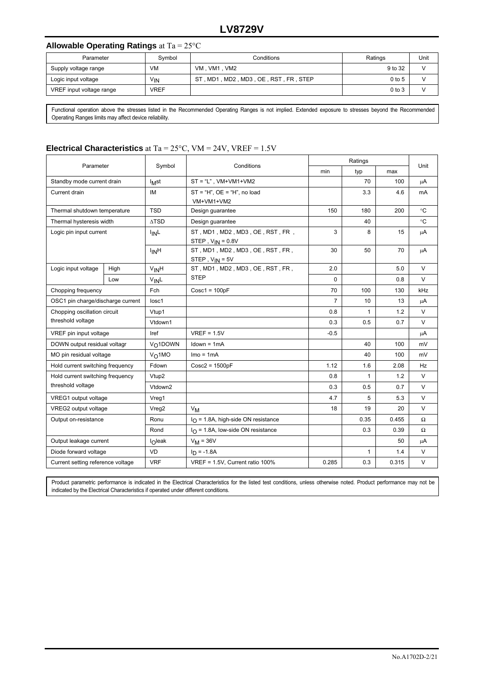#### **Allowable Operating Ratings** at Ta = 25°C

| Parameter                | Svmbol   | Conditions                           | Ratings    | Unit |
|--------------------------|----------|--------------------------------------|------------|------|
| Supply voltage range     | VM       | VM. VM1. VM2                         | 9 to 32    |      |
| Logic input voltage      | $V_{IN}$ | ST, MD1, MD2, MD3, OE, RST, FR, STEP | $0$ to 5   |      |
| VREF input voltage range | VREF     |                                      | $0$ to $3$ |      |

Functional operation above the stresses listed in the Recommended Operating Ranges is not implied. Extended exposure to stresses beyond the Recommended Operating Ranges limits may affect device reliability.

#### **Electrical Characteristics** at Ta = 25°C, VM = 24V, VREF = 1.5V

| Parameter                         |      |                        | Conditions                                    |                | Ratings      |       | Unit            |
|-----------------------------------|------|------------------------|-----------------------------------------------|----------------|--------------|-------|-----------------|
|                                   |      | Symbol                 |                                               | min            | typ          | max   |                 |
| Standby mode current drain        |      | $I_M$ st               | $ST = "L"$ , $VM+VM1+VM2$                     |                | 70           | 100   | μA              |
| Current drain                     |      | IM                     | $ST = "H", OE = "H", no load$                 |                | 3.3          | 4.6   | mA              |
|                                   |      |                        | VM+VM1+VM2                                    |                |              |       |                 |
| Thermal shutdown temperature      |      | <b>TSD</b>             | Design guarantee                              | 150            | 180          | 200   | °C              |
| Thermal hysteresis width          |      | $\triangle$ TSD        | Design guarantee                              |                | 40           |       | $\rm ^{\circ}C$ |
| Logic pin input current           |      | <b>INL</b>             | ST, MD1, MD2, MD3, OE, RST, FR,               | 3              | 8            | 15    | μA              |
|                                   |      |                        | STEP, $V_{IN} = 0.8V$                         |                |              |       |                 |
|                                   |      | <b>I<sub>IN</sub>H</b> | ST, MD1, MD2, MD3, OE, RST, FR,               | 30             | 50           | 70    | μA              |
|                                   |      |                        | STEP, $V_{IN} = 5V$                           |                |              |       |                 |
| Logic input voltage               | High | $V_{IN}H$              | ST, MD1, MD2, MD3, OE, RST, FR,               | 2.0            |              | 5.0   | $\vee$          |
|                                   | Low  | <b>VINL</b>            | <b>STEP</b>                                   | $\Omega$       |              | 0.8   | V               |
| Chopping frequency                |      | Fch                    | $Cosc1 = 100pF$                               | 70             | 100          | 130   | kHz             |
| OSC1 pin charge/discharge current |      | losc1                  |                                               | $\overline{7}$ | 10           | 13    | μA              |
| Chopping oscillation circuit      |      | Vtup1                  |                                               | 0.8            | $\mathbf{1}$ | 1.2   | V               |
| threshold voltage                 |      | Vtdown1                |                                               | 0.3            | 0.5          | 0.7   | $\vee$          |
| VREF pin input voltage            |      | Iref                   | $VREF = 1.5V$                                 | $-0.5$         |              |       | μA              |
| DOWN output residual voltagr      |      | $V_{\Omega}1$ DOWN     | $Idown = 1mA$                                 |                | 40           | 100   | mV              |
| MO pin residual voltage           |      | V <sub>O</sub> 1MO     | $Imo = 1mA$                                   |                | 40           | 100   | mV              |
| Hold current switching frequency  |      | Fdown                  | $Cosc2 = 1500pF$                              | 1.12           | 1.6          | 2.08  | Hz              |
| Hold current switching frequency  |      | Vtup2                  |                                               | 0.8            | $\mathbf{1}$ | 1.2   | V               |
| threshold voltage                 |      | Vtdown2                |                                               | 0.3            | 0.5          | 0.7   | V               |
| VREG1 output voltage              |      | Vreg1                  |                                               | 4.7            | 5            | 5.3   | $\vee$          |
| VREG2 output voltage              |      | Vreg2                  | <b>V<sub>M</sub></b>                          | 18             | 19           | 20    | $\vee$          |
| Output on-resistance              |      | Ronu                   | $I_{\bigcap}$ = 1.8A, high-side ON resistance |                | 0.35         | 0.455 | Ω               |
|                                   |      | Rond                   | $I_{\bigcap}$ = 1.8A, low-side ON resistance  |                | 0.3          | 0.39  | Ω               |
| Output leakage current            |      | $I$ <sub>O</sub> leak  | $V_M$ = 36V                                   |                |              | 50    | μA              |
| Diode forward voltage             |      | <b>VD</b>              | $I_D = -1.8A$                                 |                | $\mathbf{1}$ | 1.4   | V               |
| Current setting reference voltage |      | <b>VRF</b>             | VREF = 1.5V, Current ratio 100%               | 0.285          | 0.3          | 0.315 | $\vee$          |

Product parametric performance is indicated in the Electrical Characteristics for the listed test conditions, unless otherwise noted. Product performance may not be indicated by the Electrical Characteristics if operated under different conditions.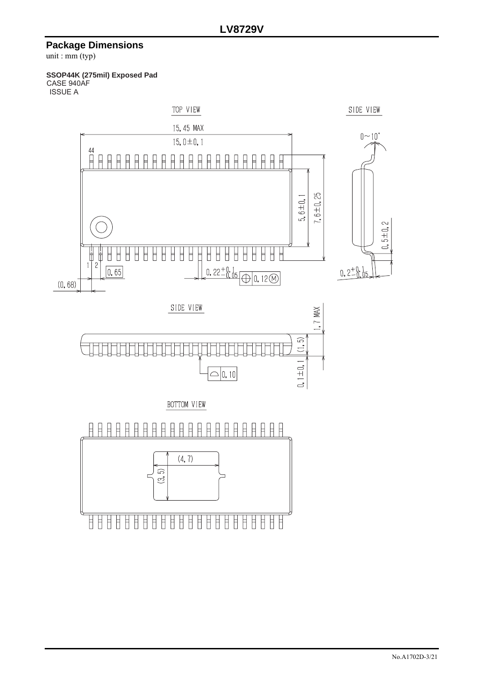## **Package Dimensions**

unit :  $mm$  (typ)

**SSOP44K (275mil) Exposed Pad** CASE 940AF

ISSUE A

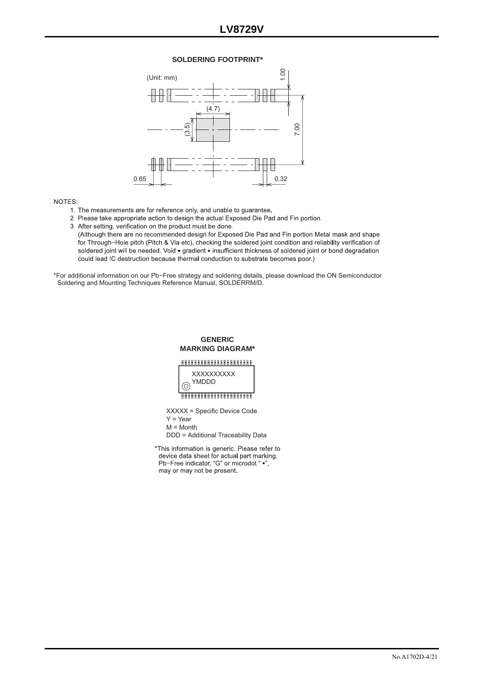#### **SOLDERING FOOTPRINT\***



#### NOTES:

- 1. The measurements are for reference only, and unable to guarantee.
- 2. Please take appropriate action to design the actual Exposed Die Pad and Fin portion.
- 3. After setting, verification on the product must be done.

(Although there are no recommended design for Exposed Die Pad and Fin portion Metal mask and shape for Through-Hole pitch (Pitch & Via etc), checking the soldered joint condition and reliability verification of soldered joint will be needed. Void = gradient = insufficient thickness of soldered joint or bond degradation could lead IC destruction because thermal conduction to substrate becomes poor.)

\*For additional information on our Pb−Free strategy and soldering details, please download the ON Semiconductor Soldering and Mounting Techniques Reference Manual, SOLDERRM/D.



device data sheet for actual part marking. Pb-Free indicator, "G" or microdot " =". may or may not be present.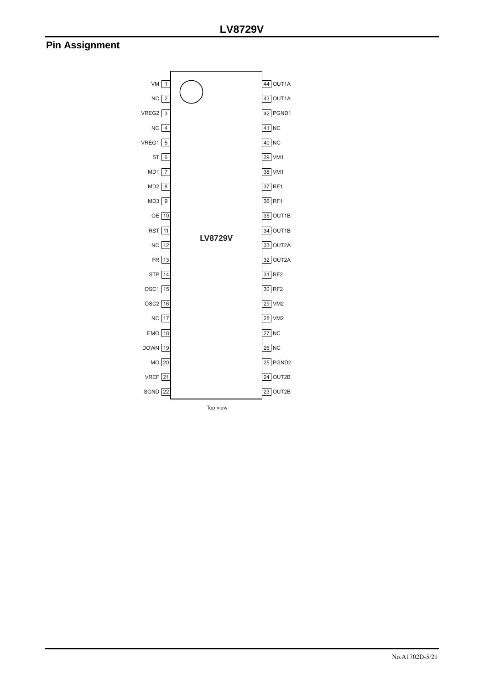# **Pin Assignment**



Top view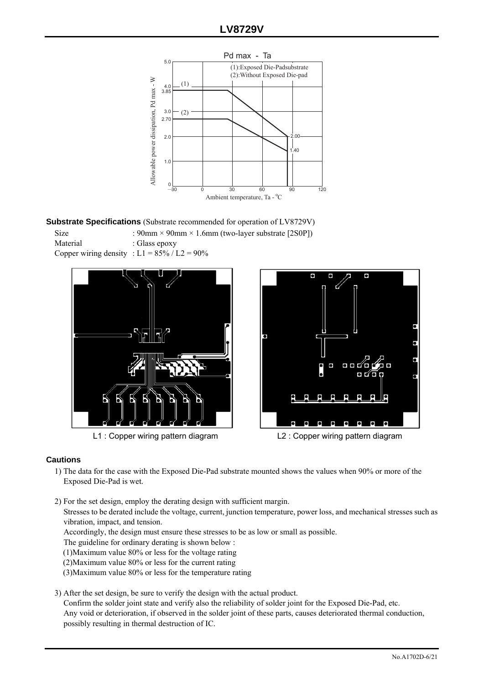

**Substrate Specifications** (Substrate recommended for operation of LV8729V)

| <b>Size</b> | : 90mm $\times$ 90mm $\times$ 1.6mm (two-layer substrate [2S0P]) |
|-------------|------------------------------------------------------------------|
| Material    | : Glass epoxy                                                    |
|             | Copper wiring density : $L1 = 85\% / L2 = 90\%$                  |



L1 : Copper wiring pattern diagram L2 : Copper wiring pattern diagram



#### **Cautions**

1) The data for the case with the Exposed Die-Pad substrate mounted shows the values when 90% or more of the Exposed Die-Pad is wet.

2) For the set design, employ the derating design with sufficient margin.

 Stresses to be derated include the voltage, current, junction temperature, power loss, and mechanical stresses such as vibration, impact, and tension.

- Accordingly, the design must ensure these stresses to be as low or small as possible.
- The guideline for ordinary derating is shown below :
- (1)Maximum value 80% or less for the voltage rating
- (2)Maximum value 80% or less for the current rating
- (3)Maximum value 80% or less for the temperature rating

3) After the set design, be sure to verify the design with the actual product. Confirm the solder joint state and verify also the reliability of solder joint for the Exposed Die-Pad, etc.

 Any void or deterioration, if observed in the solder joint of these parts, causes deteriorated thermal conduction, possibly resulting in thermal destruction of IC.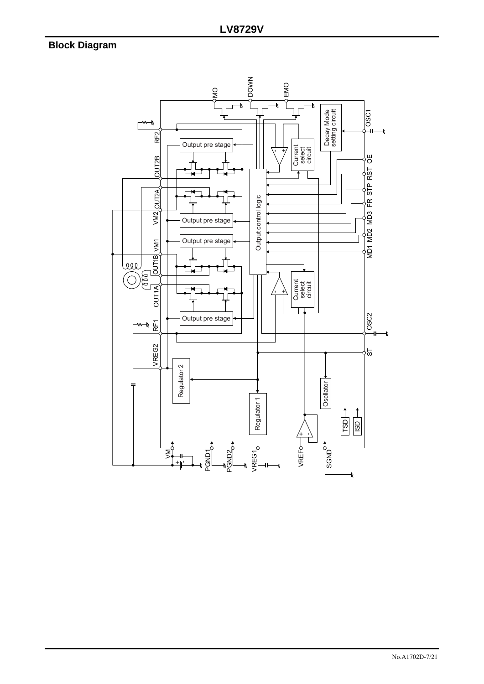**Block Diagram** 

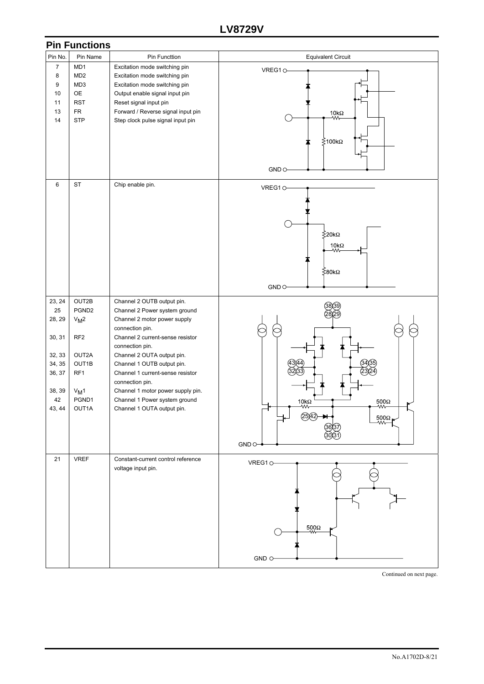|                | <b>Pin Functions</b> |                                                               |                                     |
|----------------|----------------------|---------------------------------------------------------------|-------------------------------------|
| Pin No.        | Pin Name             | Pin Functtion                                                 | <b>Equivalent Circuit</b>           |
| $\overline{7}$ | MD1                  | Excitation mode switching pin                                 | VREG10                              |
| 8              | MD <sub>2</sub>      | Excitation mode switching pin                                 |                                     |
| 9              | MD <sub>3</sub>      | Excitation mode switching pin                                 |                                     |
| 10             | OE                   | Output enable signal input pin                                |                                     |
| 11             | <b>RST</b>           | Reset signal input pin                                        |                                     |
| 13             | <b>FR</b>            | Forward / Reverse signal input pin                            | $10k\Omega$                         |
| 14             | <b>STP</b>           | Step clock pulse signal input pin                             |                                     |
|                |                      |                                                               |                                     |
|                |                      |                                                               | ≹100kΩ                              |
|                |                      |                                                               |                                     |
|                |                      |                                                               |                                     |
|                |                      |                                                               | <b>GNDO</b>                         |
| 6              | <b>ST</b>            | Chip enable pin.                                              |                                     |
|                |                      |                                                               | VREG10                              |
|                |                      |                                                               |                                     |
|                |                      |                                                               |                                     |
|                |                      |                                                               |                                     |
|                |                      |                                                               |                                     |
|                |                      |                                                               | ≹20kΩ                               |
|                |                      |                                                               | $10k\Omega$<br>w.                   |
|                |                      |                                                               |                                     |
|                |                      |                                                               |                                     |
|                |                      |                                                               | Š80kΩ                               |
|                |                      |                                                               | $GND$ $O$                           |
|                |                      |                                                               |                                     |
| 23, 24<br>25   | OUT2B<br>PGND2       | Channel 2 OUTB output pin.                                    |                                     |
| 28, 29         | $V_M2$               | Channel 2 Power system ground<br>Channel 2 motor power supply |                                     |
|                |                      | connection pin.                                               |                                     |
| 30, 31         | RF <sub>2</sub>      | Channel 2 current-sense resistor                              |                                     |
|                |                      | connection pin.                                               |                                     |
| 32, 33         | OUT2A                | Channel 2 OUTA output pin.                                    |                                     |
| 34, 35         | OUT1B                | Channel 1 OUTB output pin.                                    |                                     |
| 36, 37         | RF1                  | Channel 1 current-sense resistor                              |                                     |
|                |                      | connection pin.                                               |                                     |
| 38, 39         | $V_M1$               | Channel 1 motor power supply pin.                             |                                     |
| 42             | PGND1                | Channel 1 Power system ground                                 | $10k\Omega$<br>$500\Omega$          |
| 43, 44         | OUT1A                | Channel 1 OUTA output pin.                                    | (25)(42)                            |
|                |                      |                                                               | $\frac{500\Omega}{\sqrt{2}}$        |
|                |                      |                                                               |                                     |
|                |                      |                                                               | $GND$ <sup><math>\circ</math></sup> |
|                |                      |                                                               |                                     |
| 21             | <b>VREF</b>          | Constant-current control reference                            | VREG10                              |
|                |                      | voltage input pin.                                            |                                     |
|                |                      |                                                               |                                     |
|                |                      |                                                               |                                     |
|                |                      |                                                               |                                     |
|                |                      |                                                               |                                     |
|                |                      |                                                               |                                     |
|                |                      |                                                               | $500\Omega$                         |
|                |                      |                                                               |                                     |
|                |                      |                                                               |                                     |
|                |                      |                                                               | GND O-                              |
|                |                      |                                                               |                                     |

Continued on next page.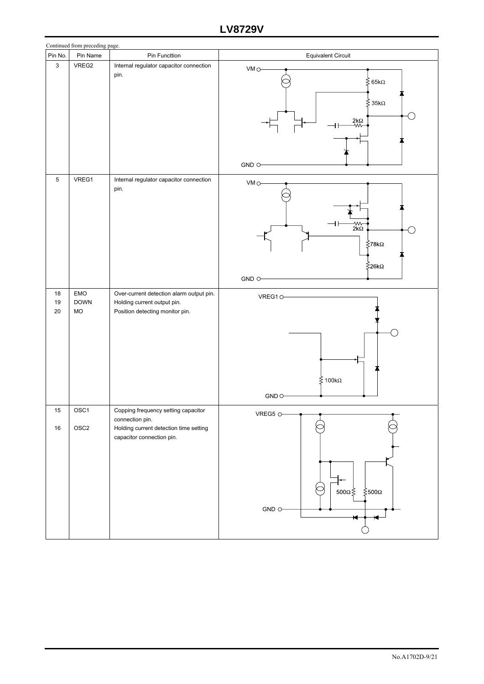|              | Continued from preceding page. |                                          |                             |
|--------------|--------------------------------|------------------------------------------|-----------------------------|
| Pin No.      | Pin Name                       | Pin Functtion                            | <b>Equivalent Circuit</b>   |
| $\mathbf{3}$ | VREG2                          | Internal regulator capacitor connection  | VMO                         |
|              |                                | pin.                                     |                             |
|              |                                |                                          | $≥$ 65kΩ                    |
|              |                                |                                          |                             |
|              |                                |                                          | $\lessgtr$ 35k $\Omega$     |
|              |                                |                                          |                             |
|              |                                |                                          | $2k\Omega$                  |
|              |                                |                                          |                             |
|              |                                |                                          |                             |
|              |                                |                                          |                             |
|              |                                |                                          |                             |
|              |                                |                                          | $GND$ $O-$                  |
| $\,$ 5 $\,$  | VREG1                          | Internal regulator capacitor connection  |                             |
|              |                                | pin.                                     | $VMO-$                      |
|              |                                |                                          |                             |
|              |                                |                                          |                             |
|              |                                |                                          |                             |
|              |                                |                                          | $\frac{1}{2k\Omega}$<br>1 t |
|              |                                |                                          |                             |
|              |                                |                                          | Š78kΩ                       |
|              |                                |                                          |                             |
|              |                                |                                          |                             |
|              |                                |                                          | ≶26kΩ                       |
|              |                                |                                          | $GND$ $O-$                  |
| 18           | ${\sf EMO}$                    | Over-current detection alarm output pin. |                             |
| $19$         | <b>DOWN</b>                    | Holding current output pin.              | VREG10-                     |
| $20\,$       | <b>MO</b>                      | Position detecting monitor pin.          |                             |
|              |                                |                                          |                             |
|              |                                |                                          |                             |
|              |                                |                                          |                             |
|              |                                |                                          |                             |
|              |                                |                                          |                             |
|              |                                |                                          |                             |
|              |                                |                                          |                             |
|              |                                |                                          | $≤$ 100kΩ                   |
|              |                                |                                          | $GND$ $\odot$               |
|              |                                |                                          |                             |
| $15\,$       | OSC1                           | Copping frequency setting capacitor      | VREG5 O                     |
|              |                                | connection pin.                          |                             |
| $16\,$       | $\mathop{\sf OSC2}\nolimits$   | Holding current detection time setting   |                             |
|              |                                | capacitor connection pin.                |                             |
|              |                                |                                          |                             |
|              |                                |                                          |                             |
|              |                                |                                          |                             |
|              |                                |                                          |                             |
|              |                                |                                          |                             |
|              |                                |                                          | 500Ω $≶$<br>-2500Ω          |
|              |                                |                                          | $GND$ $O-$                  |
|              |                                |                                          |                             |
|              |                                |                                          |                             |
|              |                                |                                          |                             |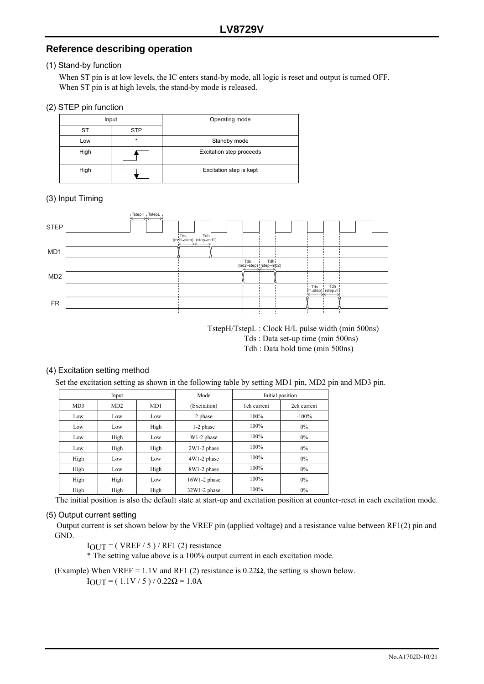## **Reference describing operation**

#### (1) Stand-by function

When ST pin is at low levels, the IC enters stand-by mode, all logic is reset and output is turned OFF. When ST pin is at high levels, the stand-by mode is released.

#### (2) STEP pin function

|      | Input      | Operating mode           |  |  |  |  |  |
|------|------------|--------------------------|--|--|--|--|--|
| ST   | <b>STP</b> |                          |  |  |  |  |  |
| Low  | $\star$    | Standby mode             |  |  |  |  |  |
| High |            | Excitation step proceeds |  |  |  |  |  |
| High |            | Excitation step is kept  |  |  |  |  |  |

#### (3) Input Timing



TstepH/TstepL : Clock H/L pulse width (min 500ns) Tds : Data set-up time (min 500ns) Tdh : Data hold time (min 500ns)

#### (4) Excitation setting method

Set the excitation setting as shown in the following table by setting MD1 pin, MD2 pin and MD3 pin.

|      | Input |      | Mode         | Initial position |             |  |  |  |
|------|-------|------|--------------|------------------|-------------|--|--|--|
| MD3  | MD2   | MD1  | (Excitation) | 1ch current      | 2ch current |  |  |  |
| Low  | Low   | Low  | 2 phase      | 100%             | $-100%$     |  |  |  |
| Low  | Low   | High | 1-2 phase    | 100%             | $0\%$       |  |  |  |
| Low  | High  | Low  | W1-2 phase   | 100%             | $0\%$       |  |  |  |
| Low  | High  | High | 2W1-2 phase  | 100%             | $0\%$       |  |  |  |
| High | Low   | Low  | 4W1-2 phase  | 100%             | 0%          |  |  |  |
| High | Low   | High | 8W1-2 phase  | 100%             | $0\%$       |  |  |  |
| High | High  | Low  | 16W1-2 phase | 100%             | $0\%$       |  |  |  |
| High | High  | High | 32W1-2 phase | 100%             | $0\%$       |  |  |  |

The initial position is also the default state at start-up and excitation position at counter-reset in each excitation mode.

#### (5) Output current setting

 Output current is set shown below by the VREF pin (applied voltage) and a resistance value between RF1(2) pin and GND.

 $I<sub>OUT</sub> = ( VREF / 5 ) / RF1 (2) resistance$ 

\* The setting value above is a 100% output current in each excitation mode.

(Example) When VREF = 1.1V and RF1 (2) resistance is  $0.22\Omega$ , the setting is shown below. IOUT = (1.1V / 5) / 0.22Ω = 1.0A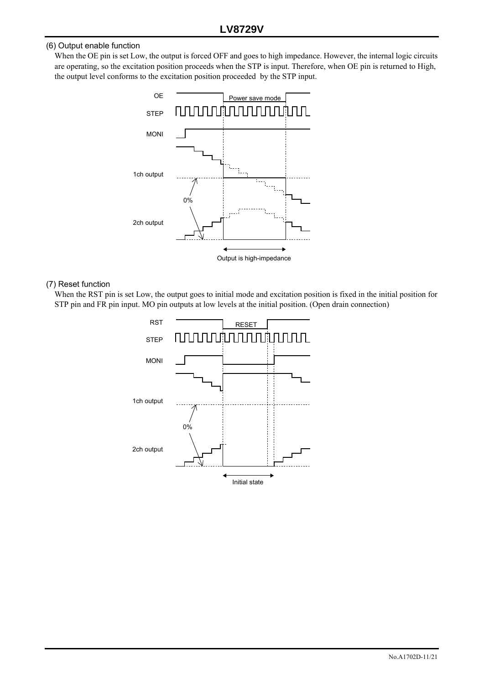#### (6) Output enable function

When the OE pin is set Low, the output is forced OFF and goes to high impedance. However, the internal logic circuits are operating, so the excitation position proceeds when the STP is input. Therefore, when OE pin is returned to High, the output level conforms to the excitation position proceeded by the STP input.



#### (7) Reset function

When the RST pin is set Low, the output goes to initial mode and excitation position is fixed in the initial position for STP pin and FR pin input. MO pin outputs at low levels at the initial position. (Open drain connection)

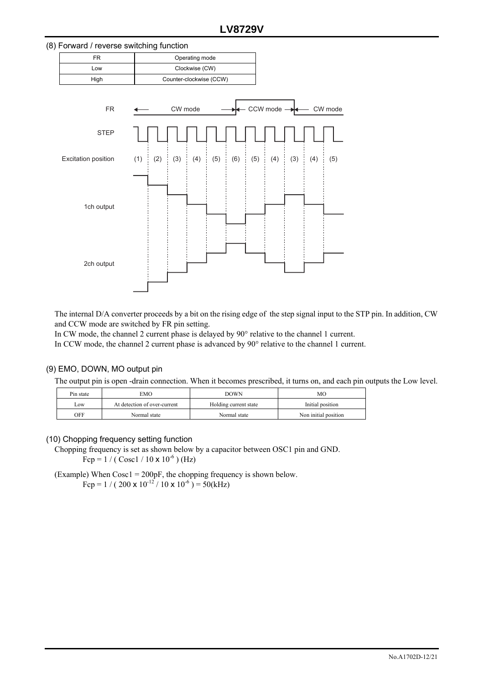

The internal D/A converter proceeds by a bit on the rising edge of the step signal input to the STP pin. In addition, CW and CCW mode are switched by FR pin setting.

In CW mode, the channel 2 current phase is delayed by 90° relative to the channel 1 current.

In CCW mode, the channel 2 current phase is advanced by 90° relative to the channel 1 current.

#### (9) EMO, DOWN, MO output pin

The output pin is open -drain connection. When it becomes prescribed, it turns on, and each pin outputs the Low level.

| Pin state | EMO                          | <b>DOWN</b>           | MО                   |  |  |  |  |
|-----------|------------------------------|-----------------------|----------------------|--|--|--|--|
| Low       | At detection of over-current | Holding current state | Initial position     |  |  |  |  |
| OFF       | Normal state                 | Normal state          | Non initial position |  |  |  |  |

#### (10) Chopping frequency setting function

Chopping frequency is set as shown below by a capacitor between OSC1 pin and GND.  $Fcp = 1 / (Cose1 / 10 \times 10^{-6})$  (Hz)

(Example) When Cosc1 = 200pF, the chopping frequency is shown below. Fcp = 1 / ( 200 x  $10^{-12}$  / 10 x  $10^{-6}$  ) = 50(kHz)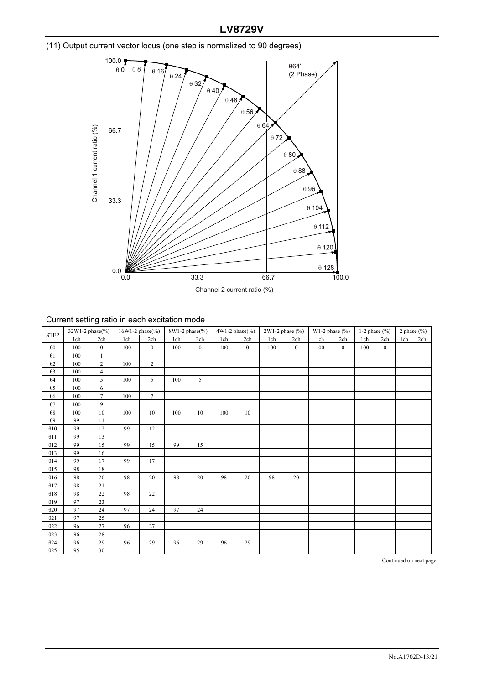#### **LV8729V**





#### Current setting ratio in each excitation mode

| <b>STEP</b> | $32W1-2$ phase(%) |                  | $16W1-2$ phase(%) |                | $8W1-2$ phase(%) |              | $4W1-2$ phase(%) |              |     | $2W1-2$ phase $(%$ ) | W1-2 phase $(\% )$ |              | 1-2 phase $(\% )$ |                | 2 phase $(\% )$ |     |
|-------------|-------------------|------------------|-------------------|----------------|------------------|--------------|------------------|--------------|-----|----------------------|--------------------|--------------|-------------------|----------------|-----------------|-----|
|             | 1ch               | 2ch              | 1ch               | 2ch            | 1ch              | 2ch          | 1ch              | 2ch          | 1ch | 2ch                  | 1ch                | 2ch          | 1ch               | 2ch            | 1ch             | 2ch |
| $\theta$ 0  | 100               | $\boldsymbol{0}$ | 100               | $\overline{0}$ | 100              | $\mathbf{0}$ | 100              | $\mathbf{0}$ | 100 | $\overline{0}$       | 100                | $\mathbf{0}$ | 100               | $\overline{0}$ |                 |     |
| $\theta1$   | 100               | $\mathbf{1}$     |                   |                |                  |              |                  |              |     |                      |                    |              |                   |                |                 |     |
| $\theta$ 2  | 100               | 2                | 100               | $\overline{2}$ |                  |              |                  |              |     |                      |                    |              |                   |                |                 |     |
| $\theta$ 3  | 100               | $\overline{4}$   |                   |                |                  |              |                  |              |     |                      |                    |              |                   |                |                 |     |
| $\theta$ 4  | 100               | 5                | 100               | 5              | 100              | 5            |                  |              |     |                      |                    |              |                   |                |                 |     |
| $\theta$ 5  | 100               | 6                |                   |                |                  |              |                  |              |     |                      |                    |              |                   |                |                 |     |
| $\theta$ 6  | 100               | $\overline{7}$   | 100               | $\tau$         |                  |              |                  |              |     |                      |                    |              |                   |                |                 |     |
| $\theta$ 7  | 100               | 9                |                   |                |                  |              |                  |              |     |                      |                    |              |                   |                |                 |     |
| $\theta$ 8  | 100               | 10               | 100               | 10             | 100              | 10           | 100              | 10           |     |                      |                    |              |                   |                |                 |     |
| $\theta$ 9  | 99                | 11               |                   |                |                  |              |                  |              |     |                      |                    |              |                   |                |                 |     |
| 010         | 99                | 12               | 99                | 12             |                  |              |                  |              |     |                      |                    |              |                   |                |                 |     |
| 011         | 99                | 13               |                   |                |                  |              |                  |              |     |                      |                    |              |                   |                |                 |     |
| 012         | 99                | 15               | 99                | 15             | 99               | 15           |                  |              |     |                      |                    |              |                   |                |                 |     |
| $\theta$ 13 | 99                | 16               |                   |                |                  |              |                  |              |     |                      |                    |              |                   |                |                 |     |
| 014         | 99                | 17               | 99                | 17             |                  |              |                  |              |     |                      |                    |              |                   |                |                 |     |
| 015         | 98                | 18               |                   |                |                  |              |                  |              |     |                      |                    |              |                   |                |                 |     |
| 016         | 98                | 20               | 98                | 20             | 98               | 20           | 98               | 20           | 98  | 20                   |                    |              |                   |                |                 |     |
| 017         | 98                | 21               |                   |                |                  |              |                  |              |     |                      |                    |              |                   |                |                 |     |
| 018         | 98                | 22               | 98                | 22             |                  |              |                  |              |     |                      |                    |              |                   |                |                 |     |
| 019         | 97                | 23               |                   |                |                  |              |                  |              |     |                      |                    |              |                   |                |                 |     |
| 020         | 97                | 24               | 97                | 24             | 97               | 24           |                  |              |     |                      |                    |              |                   |                |                 |     |
| 021         | 97                | 25               |                   |                |                  |              |                  |              |     |                      |                    |              |                   |                |                 |     |
| $\theta$ 22 | 96                | 27               | 96                | 27             |                  |              |                  |              |     |                      |                    |              |                   |                |                 |     |
| 023         | 96                | 28               |                   |                |                  |              |                  |              |     |                      |                    |              |                   |                |                 |     |
| 024         | 96                | 29               | 96                | 29             | 96               | 29           | 96               | 29           |     |                      |                    |              |                   |                |                 |     |
| 025         | 95                | 30               |                   |                |                  |              |                  |              |     |                      |                    |              |                   |                |                 |     |

Continued on next page.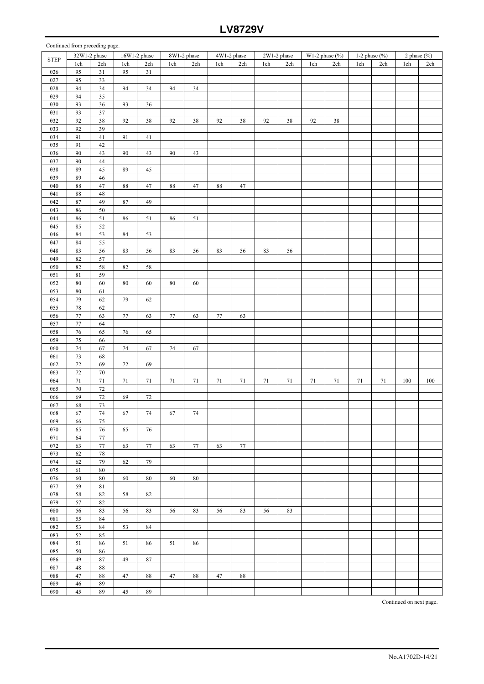|                            | Continued from preceding page. |          |        |                |             |        |        |             |     |             |     |                   |     |                   |     |                 |
|----------------------------|--------------------------------|----------|--------|----------------|-------------|--------|--------|-------------|-----|-------------|-----|-------------------|-----|-------------------|-----|-----------------|
| <b>STEP</b>                | 32W1-2 phase                   |          |        | $16W1-2 phase$ | 8W1-2 phase |        |        | 4W1-2 phase |     | 2W1-2 phase |     | W1-2 phase $(\%)$ |     | 1-2 phase $(\% )$ |     | 2 phase $(\% )$ |
|                            | 1ch                            | 2ch      | 1ch    | 2ch            | 1ch         | 2ch    | 1ch    | 2ch         | 1ch | 2ch         | 1ch | 2ch               | 1ch | 2ch               | 1ch | 2ch             |
| $\theta 26$                | 95                             | 31       | 95     | 31             |             |        |        |             |     |             |     |                   |     |                   |     |                 |
| $\theta$ 27<br>028         | 95<br>94                       | 33<br>34 | 94     | $34\,$         | 94          | 34     |        |             |     |             |     |                   |     |                   |     |                 |
| $\theta$ 29                | 94                             | 35       |        |                |             |        |        |             |     |             |     |                   |     |                   |     |                 |
| $\theta$ 30                | 93                             | 36       | 93     | 36             |             |        |        |             |     |             |     |                   |     |                   |     |                 |
| $\theta$ 31                | 93                             | 37       |        |                |             |        |        |             |     |             |     |                   |     |                   |     |                 |
| $\theta$ 32                | 92                             | 38       | 92     | 38             | 92          | $38\,$ | 92     | 38          | 92  | 38          | 92  | 38                |     |                   |     |                 |
| 033                        | 92                             | 39       |        |                |             |        |        |             |     |             |     |                   |     |                   |     |                 |
| 034                        | 91                             | 41       | 91     | $41\,$         |             |        |        |             |     |             |     |                   |     |                   |     |                 |
| 035                        | 91                             | 42       |        |                |             |        |        |             |     |             |     |                   |     |                   |     |                 |
| $\theta$ 36                | $90\,$                         | 43       | 90     | 43             | 90          | $43\,$ |        |             |     |             |     |                   |     |                   |     |                 |
| $\theta$ 37                | 90                             | 44       |        |                |             |        |        |             |     |             |     |                   |     |                   |     |                 |
| $038$                      | 89                             | 45       | 89     | 45             |             |        |        |             |     |             |     |                   |     |                   |     |                 |
| 039                        | 89                             | 46       |        |                |             |        |        |             |     |             |     |                   |     |                   |     |                 |
| 040<br>041                 | $88\,$<br>$88\,$               | 47<br>48 | 88     | $47\,$         | $8\,$       | $47\,$ | $88\,$ | $47\,$      |     |             |     |                   |     |                   |     |                 |
| $\theta$ 42                | 87                             | 49       | 87     | 49             |             |        |        |             |     |             |     |                   |     |                   |     |                 |
| $\theta$ 43                | 86                             | 50       |        |                |             |        |        |             |     |             |     |                   |     |                   |     |                 |
| 044                        | 86                             | 51       | 86     | 51             | 86          | 51     |        |             |     |             |     |                   |     |                   |     |                 |
| $\theta 45$                | 85                             | 52       |        |                |             |        |        |             |     |             |     |                   |     |                   |     |                 |
| $\theta$ 46                | $\bf 84$                       | 53       | 84     | 53             |             |        |        |             |     |             |     |                   |     |                   |     |                 |
| 047                        | 84                             | 55       |        |                |             |        |        |             |     |             |     |                   |     |                   |     |                 |
| $\theta$ 48                | 83                             | 56       | 83     | 56             | 83          | 56     | 83     | 56          | 83  | 56          |     |                   |     |                   |     |                 |
| 049                        | $82\,$                         | 57       |        |                |             |        |        |             |     |             |     |                   |     |                   |     |                 |
| $\theta 50$                | 82                             | 58       | 82     | 58             |             |        |        |             |     |             |     |                   |     |                   |     |                 |
| $\theta$ 51                | 81                             | 59       |        |                |             |        |        |             |     |             |     |                   |     |                   |     |                 |
| $\theta$ 52                | $80\,$                         | 60       | 80     | $60\,$         | $\rm 80$    | 60     |        |             |     |             |     |                   |     |                   |     |                 |
| $\theta$ 53                | 80                             | 61       |        |                |             |        |        |             |     |             |     |                   |     |                   |     |                 |
| $\theta$ 54                | 79                             | 62       | 79     | 62             |             |        |        |             |     |             |     |                   |     |                   |     |                 |
| $\theta$ 55<br>$\theta$ 56 | $78\,$<br>77                   | 62<br>63 | 77     | 63             | 77          | 63     | $77\,$ | 63          |     |             |     |                   |     |                   |     |                 |
| $\theta 57$                | $77 \,$                        | 64       |        |                |             |        |        |             |     |             |     |                   |     |                   |     |                 |
| $\theta$ 58                | $76\,$                         | 65       | $76\,$ | 65             |             |        |        |             |     |             |     |                   |     |                   |     |                 |
| 059                        | 75                             | 66       |        |                |             |        |        |             |     |             |     |                   |     |                   |     |                 |
| $\theta$ 60                | $74\,$                         | 67       | 74     | 67             | $74\,$      | 67     |        |             |     |             |     |                   |     |                   |     |                 |
| $\theta61$                 | 73                             | 68       |        |                |             |        |        |             |     |             |     |                   |     |                   |     |                 |
| $\theta$ 62                | $72\,$                         | 69       | $72\,$ | 69             |             |        |        |             |     |             |     |                   |     |                   |     |                 |
| $\theta$ 63                | $72\,$                         | 70       |        |                |             |        |        |             |     |             |     |                   |     |                   |     |                 |
| $\theta$ 64                | 71                             | $71\,$   | 71     | 71             | 71          | $71\,$ | 71     | 71          | 71  | 71          | 71  | 71                | 71  | 71                | 100 | 100             |
| $\theta$ 65                | $70\,$                         | $72\,$   |        |                |             |        |        |             |     |             |     |                   |     |                   |     |                 |
| 066                        | 69                             | 72       | 69     | $72\,$         |             |        |        |             |     |             |     |                   |     |                   |     |                 |
| 067                        | 68                             | 73       |        |                |             |        |        |             |     |             |     |                   |     |                   |     |                 |
| 068<br>$\theta$ 69         | 67<br>66                       | 74<br>75 | 67     | 74             | 67          | 74     |        |             |     |             |     |                   |     |                   |     |                 |
| 070                        | 65                             | 76       | 65     | 76             |             |        |        |             |     |             |     |                   |     |                   |     |                 |
| 071                        | 64                             | 77       |        |                |             |        |        |             |     |             |     |                   |     |                   |     |                 |
| 072                        | 63                             | 77       | 63     | 77             | 63          | 77     | 63     | 77          |     |             |     |                   |     |                   |     |                 |
| 073                        | 62                             | 78       |        |                |             |        |        |             |     |             |     |                   |     |                   |     |                 |
| 074                        | 62                             | 79       | 62     | 79             |             |        |        |             |     |             |     |                   |     |                   |     |                 |
| $\theta$ 75                | 61                             | 80       |        |                |             |        |        |             |     |             |     |                   |     |                   |     |                 |
| 076                        | 60                             | 80       | 60     | 80             | 60          | 80     |        |             |     |             |     |                   |     |                   |     |                 |
| 077                        | 59                             | 81       |        |                |             |        |        |             |     |             |     |                   |     |                   |     |                 |
| 078                        | 58                             | 82       | 58     | 82             |             |        |        |             |     |             |     |                   |     |                   |     |                 |
| 079                        | 57                             | 82       |        |                |             |        |        |             |     |             |     |                   |     |                   |     |                 |
| 080                        | 56                             | 83       | 56     | 83             | 56          | 83     | 56     | 83          | 56  | 83          |     |                   |     |                   |     |                 |
| 081<br>082                 | 55<br>53                       | 84<br>84 | 53     | 84             |             |        |        |             |     |             |     |                   |     |                   |     |                 |
| 083                        | 52                             | 85       |        |                |             |        |        |             |     |             |     |                   |     |                   |     |                 |
| 084                        | 51                             | 86       | 51     | 86             | 51          | 86     |        |             |     |             |     |                   |     |                   |     |                 |
| 085                        | 50                             | 86       |        |                |             |        |        |             |     |             |     |                   |     |                   |     |                 |
| 086                        | 49                             | 87       | 49     | 87             |             |        |        |             |     |             |     |                   |     |                   |     |                 |
| $\sqrt{0.87}$              | 48                             | 88       |        |                |             |        |        |             |     |             |     |                   |     |                   |     |                 |
| 088                        | 47                             | 88       | 47     | 88             | 47          | 88     | 47     | 88          |     |             |     |                   |     |                   |     |                 |
| 089                        | 46                             | 89       |        |                |             |        |        |             |     |             |     |                   |     |                   |     |                 |
| 090                        | 45                             | 89       | 45     | 89             |             |        |        |             |     |             |     |                   |     |                   |     |                 |

Continued on next page.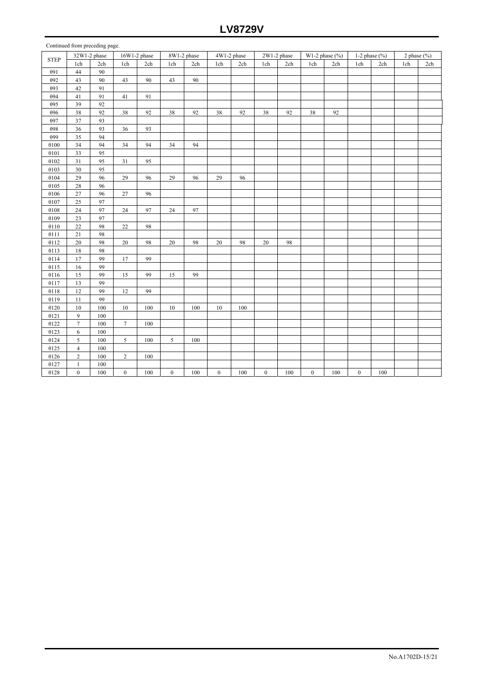| Continued from preceding page. |                  |     |                |              |          |             |                |     |          |             |                    |     |                |                   |     |                 |
|--------------------------------|------------------|-----|----------------|--------------|----------|-------------|----------------|-----|----------|-------------|--------------------|-----|----------------|-------------------|-----|-----------------|
| ${\large\bf STEP}$             | 32W1-2 phase     |     |                | 16W1-2 phase |          | 8W1-2 phase | 4W1-2 phase    |     |          | 2W1-2 phase | W1-2 phase $(\% )$ |     |                | 1-2 phase $(\% )$ |     | 2 phase $(\% )$ |
|                                | 1ch              | 2ch | 1ch            | 2ch          | 1ch      | 2ch         | 1ch            | 2ch | 1ch      | 2ch         | 1ch                | 2ch | 1ch            | 2ch               | 1ch | 2ch             |
| 091                            | 44               | 90  |                |              |          |             |                |     |          |             |                    |     |                |                   |     |                 |
| $\theta$ 92                    | 43               | 90  | 43             | 90           | 43       | 90          |                |     |          |             |                    |     |                |                   |     |                 |
| 093                            | 42               | 91  |                |              |          |             |                |     |          |             |                    |     |                |                   |     |                 |
| 094                            | 41               | 91  | 41             | 91           |          |             |                |     |          |             |                    |     |                |                   |     |                 |
| 095                            | 39               | 92  |                |              |          |             |                |     |          |             |                    |     |                |                   |     |                 |
| 096                            | 38               | 92  | 38             | 92           | 38       | 92          | 38             | 92  | 38       | 92          | 38                 | 92  |                |                   |     |                 |
| 097                            | 37               | 93  |                |              |          |             |                |     |          |             |                    |     |                |                   |     |                 |
| $\theta 98$                    | 36               | 93  | 36             | 93           |          |             |                |     |          |             |                    |     |                |                   |     |                 |
| 099                            | 35               | 94  |                |              |          |             |                |     |          |             |                    |     |                |                   |     |                 |
| 0100                           | 34               | 94  | 34             | 94           | 34       | 94          |                |     |          |             |                    |     |                |                   |     |                 |
| 0101                           | 33               | 95  |                |              |          |             |                |     |          |             |                    |     |                |                   |     |                 |
| 0102                           | 31               | 95  | 31             | 95           |          |             |                |     |          |             |                    |     |                |                   |     |                 |
| 0103                           | 30               | 95  |                |              |          |             |                |     |          |             |                    |     |                |                   |     |                 |
| 0104                           | 29               | 96  | 29             | 96           | 29       | 96          | 29             | 96  |          |             |                    |     |                |                   |     |                 |
| 0105                           | 28               | 96  |                |              |          |             |                |     |          |             |                    |     |                |                   |     |                 |
| 0106                           | $27\,$           | 96  | 27             | 96           |          |             |                |     |          |             |                    |     |                |                   |     |                 |
| 0107                           | 25               | 97  |                |              |          |             |                |     |          |             |                    |     |                |                   |     |                 |
| $\theta$ 108                   | 24               | 97  | 24             | 97           | 24       | 97          |                |     |          |             |                    |     |                |                   |     |                 |
| 0109                           | 23               | 97  |                |              |          |             |                |     |          |             |                    |     |                |                   |     |                 |
| $\theta110$                    | 22               | 98  | 22             | 98           |          |             |                |     |          |             |                    |     |                |                   |     |                 |
| 0111                           | 21               | 98  |                |              |          |             |                |     |          |             |                    |     |                |                   |     |                 |
| 0112                           | 20               | 98  | 20             | 98           | 20       | 98          | 20             | 98  | 20       | 98          |                    |     |                |                   |     |                 |
| $\theta113$                    | 18               | 98  |                |              |          |             |                |     |          |             |                    |     |                |                   |     |                 |
| 0114                           | 17               | 99  | 17             | 99           |          |             |                |     |          |             |                    |     |                |                   |     |                 |
| 0115                           | 16               | 99  |                |              |          |             |                |     |          |             |                    |     |                |                   |     |                 |
| $\theta116$                    | 15               | 99  | 15             | 99           | 15       | 99          |                |     |          |             |                    |     |                |                   |     |                 |
| 0117                           | 13               | 99  |                |              |          |             |                |     |          |             |                    |     |                |                   |     |                 |
| 0118                           | 12               | 99  | 12             | 99           |          |             |                |     |          |             |                    |     |                |                   |     |                 |
| 0119                           | 11               | 99  |                |              |          |             |                |     |          |             |                    |     |                |                   |     |                 |
| $\theta120$                    | $10\,$           | 100 | $10\,$         | 100          | 10       | 100         | $10\,$         | 100 |          |             |                    |     |                |                   |     |                 |
| 0121                           | 9                | 100 |                |              |          |             |                |     |          |             |                    |     |                |                   |     |                 |
| 0122                           | $\tau$           | 100 | $\overline{7}$ | 100          |          |             |                |     |          |             |                    |     |                |                   |     |                 |
| $\theta$ 123                   | 6                | 100 |                |              |          |             |                |     |          |             |                    |     |                |                   |     |                 |
| $\theta124$                    | $\sqrt{5}$       | 100 | 5              | 100          | 5        | 100         |                |     |          |             |                    |     |                |                   |     |                 |
| $\theta125$                    | $\overline{4}$   | 100 |                |              |          |             |                |     |          |             |                    |     |                |                   |     |                 |
| 0126                           | $\overline{2}$   | 100 | $\overline{2}$ | 100          |          |             |                |     |          |             |                    |     |                |                   |     |                 |
| 0127                           | $\mathbf{1}$     | 100 |                |              |          |             |                |     |          |             |                    |     |                |                   |     |                 |
| $\theta128$                    | $\boldsymbol{0}$ | 100 | $\mathbf{0}$   | 100          | $\bf{0}$ | 100         | $\overline{0}$ | 100 | $\bf{0}$ | 100         | $\boldsymbol{0}$   | 100 | $\overline{0}$ | 100               |     |                 |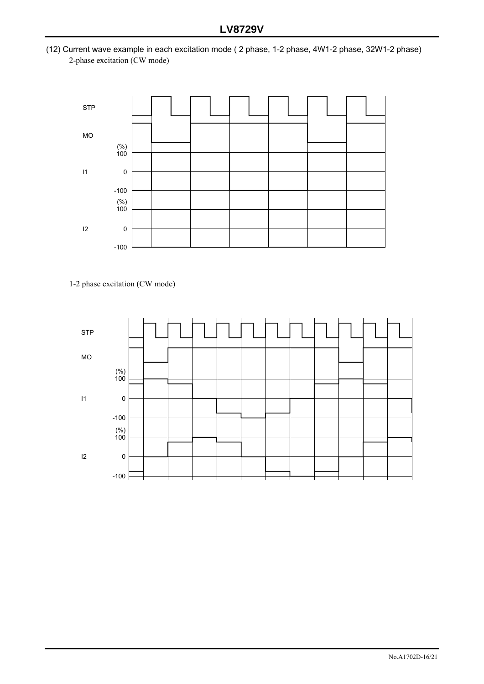#### (12) Current wave example in each excitation mode ( 2 phase, 1-2 phase, 4W1-2 phase, 32W1-2 phase) 2-phase excitation (CW mode)



1-2 phase excitation (CW mode)

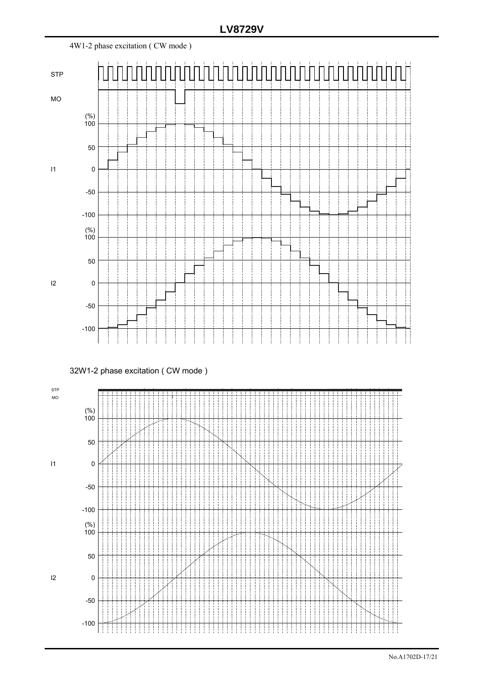

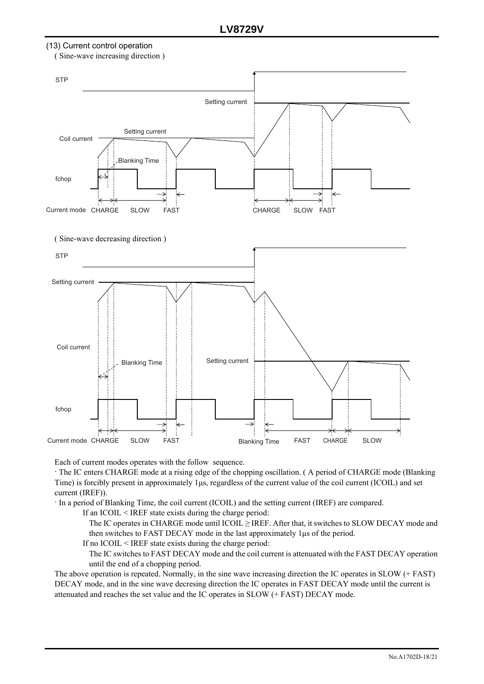#### (13) Current control operation

( Sine-wave increasing direction )



Each of current modes operates with the follow sequence.

· The IC enters CHARGE mode at a rising edge of the chopping oscillation. ( A period of CHARGE mode (Blanking Time) is forcibly present in approximately 1μs, regardless of the current value of the coil current (ICOIL) and set current (IREF)).

· In a period of Blanking Time, the coil current (ICOIL) and the setting current (IREF) are compared.

If an ICOIL < IREF state exists during the charge period:

The IC operates in CHARGE mode until ICOIL ≥ IREF. After that, it switches to SLOW DECAY mode and then switches to FAST DECAY mode in the last approximately 1μs of the period.

If no ICOIL < IREF state exists during the charge period:

The IC switches to FAST DECAY mode and the coil current is attenuated with the FAST DECAY operation until the end of a chopping period.

The above operation is repeated. Normally, in the sine wave increasing direction the IC operates in SLOW (+ FAST) DECAY mode, and in the sine wave decresing direction the IC operates in FAST DECAY mode until the current is attenuated and reaches the set value and the IC operates in SLOW (+ FAST) DECAY mode.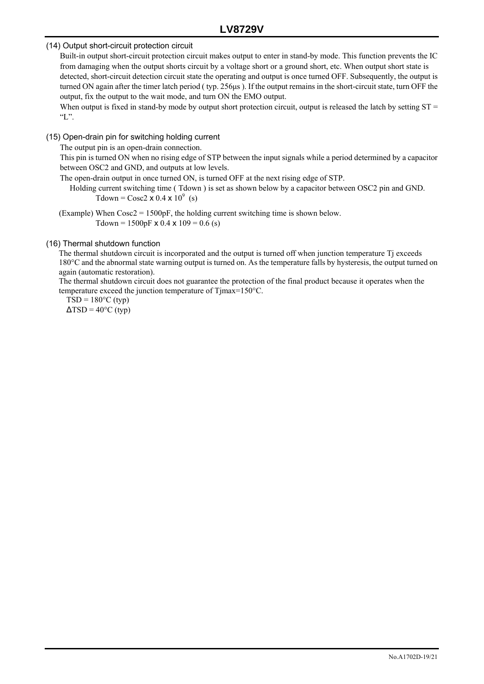#### (14) Output short-circuit protection circuit

Built-in output short-circuit protection circuit makes output to enter in stand-by mode. This function prevents the IC from damaging when the output shorts circuit by a voltage short or a ground short, etc. When output short state is detected, short-circuit detection circuit state the operating and output is once turned OFF. Subsequently, the output is turned ON again after the timer latch period ( typ. 256μs ). If the output remains in the short-circuit state, turn OFF the output, fix the output to the wait mode, and turn ON the EMO output.

When output is fixed in stand-by mode by output short protection circuit, output is released the latch by setting  $ST =$ " $L$ ".

(15) Open-drain pin for switching holding current

The output pin is an open-drain connection.

This pin is turned ON when no rising edge of STP between the input signals while a period determined by a capacitor between OSC2 and GND, and outputs at low levels.

The open-drain output in once turned ON, is turned OFF at the next rising edge of STP.

Holding current switching time ( Tdown ) is set as shown below by a capacitor between OSC2 pin and GND. Tdown = Cosc2  $\times$  0.4  $\times$  10<sup>9</sup> (s)

(Example) When  $Cose2 = 1500pF$ , the holding current switching time is shown below. Tdown =  $1500pF \times 0.4 \times 109 = 0.6$  (s)

#### (16) Thermal shutdown function

The thermal shutdown circuit is incorporated and the output is turned off when junction temperature Tj exceeds 180°C and the abnormal state warning output is turned on. As the temperature falls by hysteresis, the output turned on again (automatic restoration).

The thermal shutdown circuit does not guarantee the protection of the final product because it operates when the temperature exceed the junction temperature of Tjmax=150°C.

 $TSD = 180^{\circ}C$  (typ)  $\triangle$ TSD = 40 $^{\circ}$ C (typ)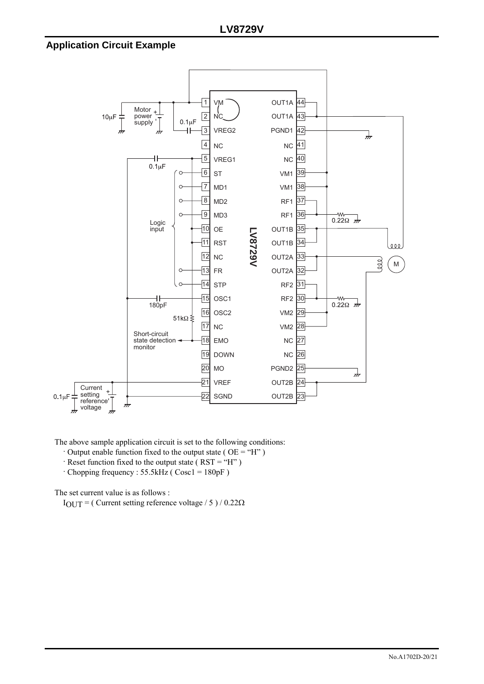# **Application Circuit Example**



The above sample application circuit is set to the following conditions:

- $\cdot$  Output enable function fixed to the output state ( OE = "H")
- $\cdot$  Reset function fixed to the output state ( RST = "H")
- · Chopping frequency : 55.5kHz ( Cosc1 = 180pF )

The set current value is as follows :

IOUT = ( Current setting reference voltage / 5 ) /  $0.22\Omega$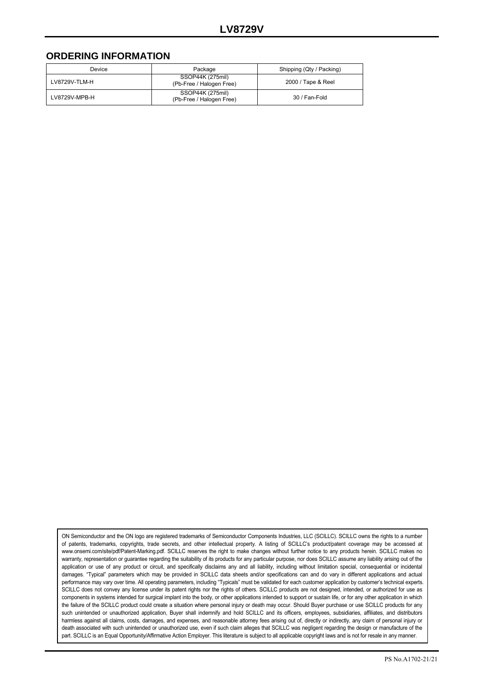#### **ORDERING INFORMATION**

| Device        | Package                                      | Shipping (Qty / Packing) |
|---------------|----------------------------------------------|--------------------------|
| LV8729V-TLM-H | SSOP44K (275mil)<br>(Pb-Free / Halogen Free) | 2000 / Tape & Reel       |
| LV8729V-MPB-H | SSOP44K (275mil)<br>(Pb-Free / Halogen Free) | 30 / Fan-Fold            |

ON Semiconductor and the ON logo are registered trademarks of Semiconductor Components Industries, LLC (SCILLC). SCILLC owns the rights to a number of patents, trademarks, copyrights, trade secrets, and other intellectual property. A listing of SCILLC's product/patent coverage may be accessed at www.onsemi.com/site/pdf/Patent-Marking.pdf. SCILLC reserves the right to make changes without further notice to any products herein. SCILLC makes no warranty, representation or quarantee regarding the suitability of its products for any particular purpose, nor does SCILLC assume any liability arising out of the application or use of any product or circuit, and specifically disclaims any and all liability, including without limitation special, consequential or incidental damages. "Typical" parameters which may be provided in SCILLC data sheets and/or specifications can and do vary in different applications and actual performance may vary over time. All operating parameters, including "Typicals" must be validated for each customer application by customer's technical experts. SCILLC does not convey any license under its patent rights nor the rights of others. SCILLC products are not designed, intended, or authorized for use as components in systems intended for surgical implant into the body, or other applications intended to support or sustain life, or for any other application in which the failure of the SCILLC product could create a situation where personal injury or death may occur. Should Buyer purchase or use SCILLC products for any such unintended or unauthorized application, Buyer shall indemnify and hold SCILLC and its officers, employees, subsidiaries, affiliates, and distributors harmless against all claims, costs, damages, and expenses, and reasonable attorney fees arising out of, directly or indirectly, any claim of personal injury or death associated with such unintended or unauthorized use, even if such claim alleges that SCILLC was negligent regarding the design or manufacture of the part. SCILLC is an Equal Opportunity/Affirmative Action Employer. This literature is subject to all applicable copyright laws and is not for resale in any manner.